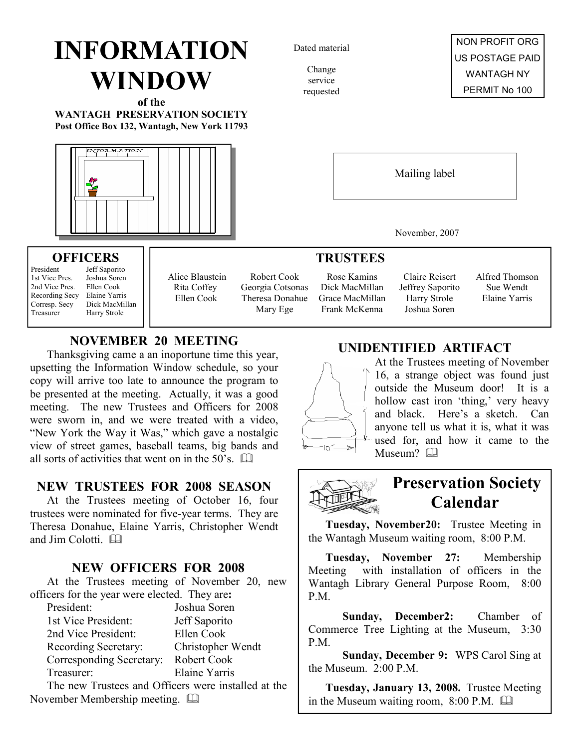# INFORMATION WINDOW

of the WANTAGH PRESERVATION SOCIETY Post Office Box 132, Wantagh, New York 11793



# **OFFICERS**<br>President Jeff Sapori

**Joshua Soren** 

President Jeff Saporito<br>1st Vice Pres Joshua Soren 2nd Vice Pres. Ellen Cook Recording Secy Elaine Yarris Corresp. Secy Dick MacMillan Treasurer Harry Strole

Alice Blaustein Rita Coffey Ellen Cook

Robert Cook Georgia Cotsonas Theresa Donahue Mary Ege

Rose Kamins Dick MacMillan Grace MacMillan Frank McKenna

Claire Reisert Jeffrey Saporito Harry Strole Joshua Soren

Alfred Thomson Sue Wendt Elaine Yarris

## NOVEMBER 20 MEETING

Thanksgiving came a an inoportune time this year, upsetting the Information Window schedule, so your copy will arrive too late to announce the program to be presented at the meeting. Actually, it was a good meeting. The new Trustees and Officers for 2008 were sworn in, and we were treated with a video, "New York the Way it Was," which gave a nostalgic view of street games, baseball teams, big bands and all sorts of activities that went on in the  $50^{\degree}$ s.  $\Box$ 

## NEW TRUSTEES FOR 2008 SEASON

At the Trustees meeting of October 16, four trustees were nominated for five-year terms. They are Theresa Donahue, Elaine Yarris, Christopher Wendt and Jim Colotti. and

## NEW OFFICERS FOR 2008

At the Trustees meeting of November 20, new officers for the year were elected. They are:

| President:                                          | Joshua Soren      |
|-----------------------------------------------------|-------------------|
| 1st Vice President:                                 | Jeff Saporito     |
| 2nd Vice President:                                 | Ellen Cook        |
| Recording Secretary:                                | Christopher Wendt |
| Corresponding Secretary:                            | Robert Cook       |
| Treasurer:                                          | Elaine Yarris     |
| The new Tweeters and Officers were installed at the |                   |

The new Trustees and Officers were installed at the November Membership meeting.

## UNIDENTIFIED ARTIFACT

Mailing label

November, 2007



**TRUSTEES** 

At the Trustees meeting of November 16, a strange object was found just outside the Museum door! It is a hollow cast iron 'thing,' very heavy and black. Here's a sketch. Can anyone tell us what it is, what it was used for, and how it came to the Museum?



## Preservation Society Calendar

Tuesday, November20: Trustee Meeting in the Wantagh Museum waiting room, 8:00 P.M.

Tuesday, November 27: Membership Meeting with installation of officers in the Wantagh Library General Purpose Room, 8:00 P.M.

 Sunday, December2: Chamber of Commerce Tree Lighting at the Museum, 3:30 P.M.

 Sunday, December 9: WPS Carol Sing at the Museum. 2:00 P.M.

Tuesday, January 13, 2008. Trustee Meeting in the Museum waiting room, 8:00 P.M.

Dated material

Change service requested

NON PROFIT ORG US POSTAGE PAID WANTAGH NY PERMIT No 100